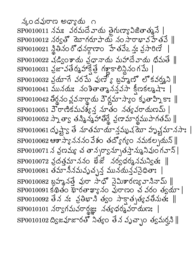న్కందవురాణ అధ్యాయి ౖ౧  $\mathrm{SPO}010011$  నమః నరమదేవాయ తైగుణ్యావిజితాత్మనే  $|$  $\text{SP0010012}$  వర్వతో మోగరూపాయ నం సారాభావహేతపే $\parallel$ SP0010021 స్థితినం రోధనర్గాణం హేతవేఒన్త: వ్రసారిణే  $SP0010022$  వడ్వింశాయ వధానాయ మహాదేవాయ ధిమతే  $\parallel$  $\mathrm{SPO}010031$  వ్రజావతేర్మహాక్షేత్తే గళ్లాకాలిన్లినంగమే |  $\text{SP0010032}$  వ్రమాగే వరమే వుణ్యో బహ్మణ్ లొకవర్మని  $\parallel$  $\mathrm{SPO}010041$  మునయః నంశితాత్మానన్తవసా క్రీణకల్మషాః |  $\mathrm{SPO}010042$  తీర్థనం వ్లవనార్థాయ వౌర్ణమాస్యాం కృతాహ్నికా:  $\parallel$  $\mathrm{SPO}010051$   $\mathrm{J}$ 'రాణికమవశ్వన నూతం నత్యవరాయణమ్ |  $SP0010052 \; \lambda$ ్నత్వా తన్మిన్మహాతీర్థే వ్రణామార్థముపాగతమ్ || SP0010061 దృష్ట్వ తే నూతమాయాన్త్రమున యోహున్ల హృష్టమానసాః |  $\mathrm{SPO}$ 0010062 ఆశాస్యానననం వేశం తద్యోగ్యం నమకల్ప్లనున్  $\parallel$ sP0010071 న వ్రణమ్య చ తాన్నర్వాన్నూతస్తాన్యునివుంగవాన్ |  $\text{SP0010072}$  వదత్తమాననం ఖేజే నర్వధర్మనమన్విత:  $\parallel$ SP0010081 తమానీనమవృచ్చన్ మునయన్థవసైధితాః |  $\mathrm{SP}0010082$  బ్లహ్మనత్తే వురా సాధ్ నైమిశారణ్యవానినామ్ ||  $\mathrm{SPO010092}$  తేన నః వ్రతిభాని త్వం సాక్షాత్భవత్నుతః  $\parallel$  $\text{SPO}010101$  నర్వాగమవరార్ధజ్ఞు నత్యధర్మవరాయణః  $\mathrm{SPO}$ 010102 ద్విజ వూజారతో నిత్యం తేన వృచ్ఛాం త్వమర్హని  $\parallel$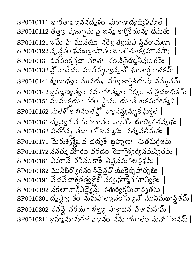$SPO010111$  భారతాఖ్యాననదృశం వురాణాద్యద్యిష్యతే |  $\mathrm{SPO}$ 0010112 తత్తా వృచ్ఛామ వై జన్మ కార్తికే యన్య ధిమతః  $\parallel$  $\mathrm{SPO}010121$  ఇపేు హి మునయఃనరే $\mathrm{S}$  త్వదుపానివరాయణాః |  $\mathrm{SPO}010122 \, \lambda$   $\lambda$   $\lambda$   $\infty$  బి వబబ్రాషా న $\circ$  జాతె తు $\setminus$ క్యోమానసాః $\parallel$ SP0010131 విన ముక్తన్గదా నూతః నం నిదైర్ము నీవుం గవైః |  $SP0010141$ శృణుధ్యం మునయ: నర్వే కార్తికే యన్య నమ్మనమ్ |  $\mathrm{SPO}$ 010142 బ్రహ్మణ్యత్వం నమాహాత్యం వేర్యం చ త్రిదశాధికమ్  $\parallel$  $SP0010151$  ముముక్షయా వరం స్థానం యాతే ఖకమహాత్మని |  $\mathrm{SPO}$ 010152 నుతశోకాభినంత $\mathfrak{L}^{\bullet}$ ్వానిన్యమృకమైక్త  $\parallel$  $SP0010161$  దృష్ణైన న మహేశానం వ్యోస్ భూద్యిగతవ్వథ: |  $\mathrm{SPO}$ 0010162 ఏచోరన్న తదా లోకాన్మునిః నత్యవతీనుతః  $\parallel$  $SP0010171$  మేరుశృశ్లేషై థ దదృశే బ్రహ్మణ: నుతమగ్రజమ్ |  $\mathrm{SPO}010172$  ననత్కు మారం వరదం మోగైశ్వర్య నమన్యితమ్  $\parallel$ SP0010181 విమానే రవినంకాశే తిళ్లనునలన్లభమ్ |  $SP0010182$  మునిభిర్యోగనం నిదైన హీయుకైర్కహాత్కభి:  $\parallel$  $SP0010191$  వేదవేదాశ్లతత్త్యజై: నర్వధర్మాగమాన్వితై:  $\mathrm{SPO}$ 010192 నకలావార్తో విద్యేస్తు చతుర్వక్తమివావృతమ్  $\parallel$  $\text{SP0010201} \text{ d}$ ృష్ట్వ తం నుమహాత్మానం హె $\text{g} \mathcal{N}$  మునిమథాన్థితమ్ |  $SPO010202$  వవస్థే వరయా భక్తా, సాకాదివ వితామహమ్ ||  $\text{SP0010211}$  బహన్నూనురథ వ్యవం నమాయాతం మహా జనమ్ |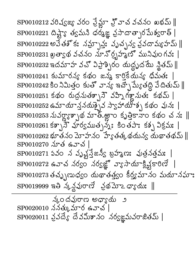$\mathrm{SPO}010212$  వరిష్యజ్య వరం ప్రేమ్హా హ్హిచ వచనం ఖభమ్  $\parallel$  $\mathrm{SPO}010221$  దిష్ట్యా త్యమని ధర్మజ్ఞ వ్రసాదారా సమేశ్వరాత్ |  $SP0010222$  అవేతశోక: నమ్సావ్త: వృచ్చన్య వ్రవదామ్య హమ్ || SP0010231 ఖత్వథ వచనం నూన్రృహ్మణో మునివుం గవః |  $SP0010232$  ఇదమాహ వచ్ విప్రాశ్చిరం యద్ధ్రదమే శ్లితమ్  $\parallel$  $SP0010241$  కుమారన్య కథం జన్మ కారికేయన్య ధిమత: |  $\text{SP0010242}$  కిం నిమిత్తం కుతో వాన్య ఇచ్చే మ్యేతద్ది వేదితుమ్  $\parallel$  $SP0010251$  కథం రుద్రమతశ్చాని వహ్నిగళ్లానుత: కథమ్ |  $SP0010252$  ఉమాయా ననయశ్చైన స్వాహాయాశ్చ కథం వున: |  $SP0010253 \Delta \Delta \pi \pi \gamma \phi \Delta \pi$  & అాంకృత్తికానాం కథం చవ: ||  $\text{SP0010261}\text{S}$ ్ప్ ప్రార్థముత్భవు: కింతపా: కశ్భ విక్రమ: |  $\text{SP0010262}$  భూతనం మోహనం హ్యేతత్కథయన్వ యథాతథమ్ ||  $SP0010270$  మాత ఉవాచ $\mid$  $\mathrm{SPO}010271$  ఏవం న వృష్ణన్తేజన్యీ బ్రహ్మణ: పుత్రనత్తమః  $\mathrm{SPO}010272$  ఉవాచ నర్వం నర్వజ్ఞో వ్యాసాయాక్షిక్లు (కారిణే) SP0010273 తచ్చుణుధ్యం యథాతత్త్యం కీర్త్యమానం మయానఘాః  $SP0019999$  ఇతి వ్యవ్థ బాణి క్రథమో 4 గ్రామం  $\parallel$ 

న్కందవురాణ అధ్యాయ ౨  $SP0020010$  ననత్కుమార ఉవాచ  $\mathrm{SPO}020011$  వ్రవే $\mathfrak{F}\text{ }$  దేవమీశానం నర్వజ్ఞమవరాజితమ్  $\mid$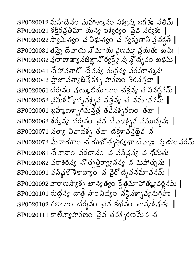$SP0020012 \Delta x$ ోదేవం మహాత్మానం విశ్వన్య జగత: వతిమ్ ||  $SP0020021$  శక్రవ్రతిమా యన్య విశ్వర్యం చైన నర్వశ:  $\mathrm{SP}0020022$  స్వామిత్వం చ విభుత్వం చ న్వకృతాని వ్రచక్షతే  $\parallel$ SP0020031 తన్నై దే వాయ నో మాయ ప్రణమ్య వ్రయతః ఖపిః |  $\mathrm{SP}0020032$  Joer ఖ్యా నజిజ్ఞా ఎోర్వక్ష్యే స్క్లోన్న దృవం బభమ్ || SP0020041 దేహావతారో దేవన్య రుద్ధన్య వరమాత్మనః |  $SP0020042$  2 x 30  $\sqrt{3}35$  5) 5000 30 30 50 |  $SP0020051$  దర్శనం చట్కులోయానాం చక్రన్య చ వినర్జనమ్ |  $\mathrm{SPO}$ 0020052 నైమిశన్యోద్భవక్సైవ నత్తవ్య చ నమావనమ్  $\parallel$  ${\rm SP}0020061$  బ్రహ్మణశ్చాగమన్తత తనేనశ్చరణం తథా |  $\mathrm{SPO}$ 0020062 శర్వన్య దర్శనం చైవ దేవ్యాక్సైవ నముద్భవః  $\parallel$  $\mathrm{SPO}$ 020072 మేనాయాం చ యథోత్పత్తిర్యథా దేవ్యాః న్వయం వరమ్ SP0020081 దేవానాం వరదానం చ వసిన్గన్య చ ధిమతః |  $\mathrm{SP}0020082$  వరాశరన్య చ్త్రతిర్వ్యానన్య చ మహాత్మన:  $\parallel$ SP0020091 వనిన్లో హికాబ్యాం చ వైరోద్భవనమావనమ్ |  $\mathrm{SP}0020092$  వారాణస్యాశ్చ ఖాన్యత్యం క్రేత్రమాహాత్యవర్ధనమ్  $\parallel$  $SP0020101$  రుద్రన్య చాత్ర సాం నిధ్యం నన్నినశ్చావ్య నుగ్రహం  $\mathrm{SPO}020102$  గణానాం దర్శనం చైవ కథనం చావ్యకేషతః  $\parallel$  ${\rm SP}0020111$  కాలీవ్యాహరణం చైవ తవశ్చరణమేవ చ $\mid$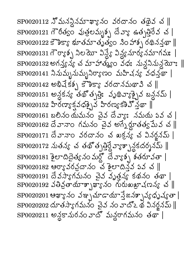$\mathrm{SPO}$ 020112  $\mathfrak{I}^{\bullet}$ మనన్దినమాఖ్యానం వరదానం తథైవ చ $\parallel$  $\mathrm{SPO}$ 020121 గౌరీత్వం వుత్రలమ్మశ్చ దేవ్యా ఉత్పత్తిరేవ చ $\parallel$  $\mathrm{SPO}$ 020122 కౌశిక్యా భూతమాతృత్వం సిం హాశ్చ రథినన్తూ  $\parallel$  $\mathrm{SPO}$ 020131 గౌర్యాశ్చ నిలయో విన్డ్యే విన్ణయార్య సమాగమః |  $SP0020132$  అగన్త్య న్య చ మాహాత్యం వధ: నున్ధనినున్దయా: ||  $SPOO20141$  నినుమ్బనుమ్బనిర్యాణం మహిషన్య వధన్తథా |  $\mathrm{SPO}020142$  అభివేకశ్వ కొశికా, వరదానమథావి చ  $\parallel$  $\mathrm{SPO}020151$  అన్లకన్య తథ్త్పత్తి: వృథివ్యాక్సైవ బన్లనమ్ |  $SP0020152$  హీరణా $s$ కవధక్పైవ హిరణ్యకశివ్వథా || SP0020161 బలినం యమనం చైవ దేవ్యాః నమయ పవ చ |  $SP0020162$  దేవానాం గమనం చైవ అగ్నేర్లూతత్వ మేవ చ $\parallel$ SP0020171 దేవానాం వరదానం చ ఖక్రవ్య చ వినర్జనమ్ |  $\mathrm{SPO}$ 020172 నుతన్య చ తథ్త్పత్రైవ్యాశ్చానకదర్శనమ్  $\parallel$  $SP0020181$  ชิยาลลีย์ จัด พัตั สี ภาษา ชัยชางอา  $SP0020182$  ఆర్యావరవైదానం చేశైలాదినవ వివ చ ||  $\mathrm{SPO}020191$  దేవస్యాగమనం చైవ వృత్తన్య కథనం తథా |  $\mathrm{SPO}020192$  వతివ్రతాయాశ్చాఖ్యానం గురుఖుత్రాషణన్య చ $\parallel$  ${\rm SP}0020201$  ఆఖ్యానం వఞ్పమాడాయాస్తేజనశ్చావ్యధృష్యతా  $\mathrm{SPO}$ 020202 దూతస్యాగమనం చైవ నం వాదోఽ థ వినర్జనమ్  $\parallel$ SP0020211 అన్లకానురనం వాదో మన్ధరాగమనం తథా |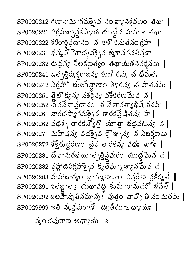$\mathrm{SPO}020212$  గణానామాగమశ్చైవ నంఖ్యానక్షవణం తథా  $\parallel$  ${\rm SP}0020221$  నిగ్రహ్భూన్లకస్యాథ యుద్ధేన మహతా తథా |  $SP0020222$  శరీరార్ధవైదానం చ అశోకనుతనంగ్రహ. ||  $\mathrm{SPO}$ 020231 భన్న స్పాద్భవక్సైన శ్మశానవనతిన్తథా |  $SP0020232$  రుద్రన్య నిలకణ్ణత్యం తథాయతనవర్ణనమ్ ||  ${\rm SP}0020241$  ఉత్పత్తిర్యక్తరాజన్య కుబే రవ్య చ ధిమతః |  $\mathrm{SPO}$ 020242 నిగ్రహో భుజగేవ్గారాం శిఖరన్య చ పాతనమ్  $\parallel$  $\mathrm{SPO}020251$  తైలోక్వన్య నశక్షన్య వశీకరణమేవ చ $\mid$  $\mathrm{SPO}$ 020252 దేవసేనావదానం చ సేనావత్వాభిషేచనమ్  $\parallel$  $SPOO2O261$  నారదస్యాగమశ్చైవ తారకప్రేషితన్య హ |  $\mathrm{SP}0020262$  వధశ్చ తారకన్యో యాత్రభద్రున్య చ $\parallel$  ${\rm SP}0020271$  మహిషన్య వధక్పైవ క్రౌఞ్పవ్య చ నిబర్షణమ్ |  $\mathrm{SPO}020272$  శక్తేరుద్దరణం చైవ తారకన్య వధః ఖభః  $\parallel$ SP0020281 దేవానురభమోత్పత్తినైవురం యుద్ధమేవ చ | SP0020282 వ్రహ్లా దవిగ్రహక్పైవ కృతమ్నా ఖ్యాన మేవ చ |  $\mathrm{SP}0020283$  మహాభాగ్యం బ్రాహ్మణానాం విన్లేణ న్రకీర్యతే  $\parallel$  ${\rm SP}0020291$  ఏతజ్ఞాత్వా యథావద్ది కుమారానుచరో భవేత్ | SP0020292 బలహేన్మతినమృన్మః పుత్రం చాహ్నో తి నం మతమ్ ∥  $SP0029999$  ఇతి స్కన్దపురాణే ద్వితీయో  $\sigma$ ్యాయి:  $\parallel$ 

వుందవురాణ అధ్యాయ 3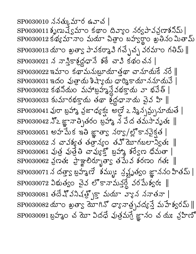$SP0030010 \times \text{S}$ త్కుమార ఉవాచ |  $SP0030011$ శృణువ్వమాం కథాం దివ్యాం నర్వపావన్లణాశనిమ్ | SP0030012 కథ్యమానాం మయా చిత్రాం బహ్వర్థాం ఖతినం మితామ్  $\mathrm{SP}0030013\ \mathrm{a}$ ూం ఖత్వా పావకర్మావి గచ్చేచ్చ వరమాం గతిమ్  $\parallel$ SP0030021 న నాన్తికాశ్రద్ధధానే శరే చావి కథం చన |  $\mathrm{SP}0030022$  ఇమాం కథామనుబూయాత్రథా చానూయకే నరే $\parallel$  $\mathrm{SPO}$ 030031 ఇదం పుత్రాయ శిష్యాయ ధార్మికాయాననూయనే | SP0030032 కథనియం మహాబ్రహ్మన్దేవభక్తాయ వా భవేత్ |  $\mathrm{SP}0030033$  కుమారభక్తాయ తథా శ్రద్ధధానాయ చైవ హి  $\parallel$ SP0030041 వురా బ్రహాం వ్రజాధ్యక్త: అల్లై 2 సింన్సమ్స్తునాయతే |  $SP0030042$   $X_2$  జ్ఞానాత్పితరం బ్రహ్మ న వేద తమసావృత:  $\parallel$  $\mathrm{SP}0030051$  అహమేక ఇతి జ్ఞాత్వా నర్వా/ల్లోకానపైక్షత |  $SP0030052 \measuredangle$  చావశ్వత తత్రన్య తవ్ యోగబలాన్విత:  $\parallel$ SP0030061 వుత్ర వుత్రేతి చావ్యక్తో బ్రహ్మీ శరే్వణ ధీమతా |  $SP0030062$  వ్రణత: స్రాష్ట్రాలిర్భూత్వా తమేవ శరణం గత: ||  $\text{SP0030071} \stackrel{\textstyle <}{\sim} \text{Gerg}$  బ్రహ్మణ్ శమ్ము: న్రష్ట్రత్యం జ్ఞాననం హితమ్ |  $\mathrm{SPO}$ 030072 ఏశుత్వం చైవ లోకానామన్త్ధ వరమేశ్వరః  $\parallel$  $SP0030081$  తదే ష్వనిషత్స్తో మయా వ్యాన ననాతనా |  $\mathrm{SP}0030082\,\mathrm{d} \mathrm{r}$ ం ఖత్వా యోగిన్ ధ్యానాత్ర వద్య స్థే మహేశ్వరమ్  $\parallel$ SP0030091 బ్రహ్మం చ మో విదధే వుత్రమగ్రే జ్ఞానం చ యః వ్రహిణో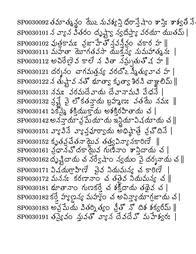SP0030092 తమాత్మన్థం మొ2 నువక్కన్తి ధిరాన్తే షాం శాన్తి: శాశ్వతి నే SP0030101 న వ్యాన వితరం దృష్ట్వా న్వదిస్త్యా వరయా యుతమ్ |  $\mathrm{SP0030102}$  పుత్రకామ: నైజాహేతోననన్నం చకార హ  $\parallel$  $SP0030111$  మహేతా యోగతవసా యుక్త్య నుమహాతృన: |  $SP0030112$  అచిరేణైవ కాలే న వితా నమ్నతుతోష హ  $\parallel$  $\mathrm{SPO}$ 030121 దర్శనం చాగమత్తన్య వరదోఽ స్మీత్యువాచ హ SP0030131 నమః వరమదేవాయ దేవానామని పేధనే |  $\mathrm{SP}0030132$  న్రై వై లోకతన్తాయ బ్రహ్మణ: వతమే నమ:  $\parallel$  $SP0030141$  ఏక్ష్మై శక్తియుక్తాయ అశక్తిరహితాయ చ $\mid$  $\mathrm{SP}0030142$  అనన్తాయా వ్ర మే యాయ ఇన్లియా ఏచయాయ చ $\parallel$  $SP0030151$  వ్యాపినే వ్యాక్తులా $S^2$ య అధిష్టాత్రే వ్రచ్ దినే |  $\mathrm{SP}0030152$  కృతన్రేతనాయైన తత్వవిన్యానకారిణే  $\parallel$  $SP0030161$  వ్రామ్ దకాయైన గుణినాం శాన్తిదాయ చ |  $\mathrm{SP}0030162$  దృష్టిదాయ చ $\chi$ నే $\mathrm{S}$ షాం స్వయం పై దర్శనాయ చ $\parallel$  $SP0030171$   $\Im \times \Im \overline{r}$   $\Im \overline{r}$   $\Im \overline{r}$   $\Im \overline{r}$   $\Im \overline{r}$   $\Im \overline{r}$  $SP0030172$  మనన: కరణానాం చ తతైవ నియమన్య చ ||  $SP0030181$  భూతానాం గుణకర్తే చ శక్తిదాయ తథైవ చ |  $SP003018250$  వ్యాల్షన్ మహ్యం చ అవివ్యాయాగ్రజాయ చ|  $SP0030183$  అన్ల మేయ వితర్శిత్యం వ్రీతో నో దిశ శక్వరీమ్ ||  $SP0030191$  తప్యైవం నువతో వ్యాన దేవదేవో మహేశ్వర: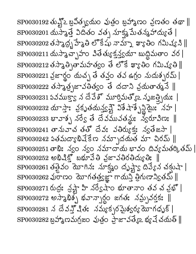$\mathrm{SPO}030192$  తున్లో 2 బ్రవిత్స్యయం వుత్రం బ్రహ్మాణం వ్రణతం తథా  $\parallel$  $SP0030201$  యస్మాత్తే విదితం వత్స మాక్ష్మ మేతన్మహాద్యుతే |  $\mathrm{SPO}$ 030202 తస్మాద్భ హేశైతి లొకేషు నామ్నా ఖ్యాతిం గమిష్య సి $\parallel$  $\mathrm{SPO}$ 030211 యస్మాచ్ఛాహం వితేత్యుక్తన్త్వయా బుద్ధిమతాం వర |  $\mathrm{SPO}$ 030212 తస్మాత్సితామహత్యం తే లొకే ఖ్యాతిం గమిష్యతి  $\parallel$ SP0030221 న్రజార్థం యచ్చ తే తవ్తం తవ ఉగ్రం నుదుశ్చరమ్ |  $SP0030222$  తస్మాత్ర జావతిత్వం తే దదాని వ్రయతాత్మనే  $\parallel$  $SP0030231$  వవముక్తా న దేవేశొ మూర్తిమత్య సృజత్భియ:  $|$  $SP0030232$  యాస్తా: వ్రకృతయన్త్య విశేషాశ్చేస్థిమై: నహ |  $SP0030233$  బావాశ్చ నర్వే తే దేవమువతన్డు: న్వరూవిణ: ||  $SP0030241$  లానువాచ తతో దేవ: వతిర్యుక: న్యతేజసా |  $SP0030242$  వతమద్యాభివేకేణ నమ్బాదయత మా చిరమ్ ||  $SPO030251$  తాభి: న్వం న్వం నమాదాయ భావం దివ్యమతర్కితమ్ |  $\mathrm{SPO}$ 030252 అభిషిక్తో బభూవేతి వ్రజావతిరతిద్యుతిః  $\parallel$  $SPO030261$  తత్రైవం మోగిన: సూక్ష్మం దృష్ట్వా దివ్యేన చక్షుషా |  $\mathrm{SP}0030262$  పురాణం మోగతత్త్యజ్ఞా గాయన్తి త్రిగుణాన్వితమ్  $\parallel$ SP0030271 రుద్ర: న్రష్ట్ల హి నర్వేషుం భూతానాం తన చ న్రభో |  $\mathrm{SPO}$ 030272 అస్మాభిశ్చ భవాన్పార్ధం జగత: నమ్సవర్తక:  $\parallel$  $SP0030281 \not\vartriangleleft S \not\vartriangleleft S$ ి చిత: సమ్యకృరమైన్య యోగధృక్ |  $\mathrm{SP}0030282\,$ బ్రహ్మీణమగ్రజం వుత్రం ప్రాజావత్యేఒ భ్యవే చదుత్  $\parallel$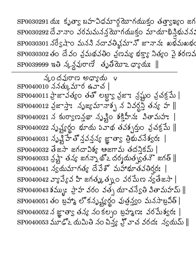SP0030301 నర్వేషాం మనని నదావతివ్షమానో జానానః ఖభమఖభం SP0030302 తం దేవం వ్రమథవతిం వ్రణమ్య భక్త్యా నిత్యం వై శరణవ  $SP0039999$  ఇతి స్మన్ధపురాణే తృతియో  $\sigma$ ్యు  $\parallel$ వుందవురాణ అధ్యాయ ౪  $\mathrm{SP0040010}$  ననత్కుమార ఉవాచ  $|$  $\mathrm{SPO}$ 040011 స్జావత్యం తతో లబ్ల్యా న్రజాః న్రష్టం వ్రవక్రమే |  $\mathrm{SPO}$ 0040012 న్రజాస్తా: సృజ్యమానాశ్చ న వివర్ధన్తి తన్య హ  $\parallel$  $\mathrm{SPO}040021 \,\, \mathrm{\AA} \,\, \mathrm{S}00$ ွားကြွေကို သို့ပြီးလားဆိုပါတီကို အားကြွေးကြွေးကို အ  $\mathrm{SPO}$ 040022 నృష్ట్యర్ధం భూయ పవాథ తవశ్చర్తుం వ్రచక్రమే  $\parallel$  $SP0040031 \xrightarrow{\delta} \xrightarrow{\delta} \overline{3}$  లో స్తవస్థ జ్ఞాత్వా త్రిభువనేశ్వర: | SP0040032 తేజసా జగదావిశ్య ఆజగామ తదస్తికమ్ |  $\mathrm{SP}0040033$   $\lesssim$ ష్టా తన్య జగన్నాథో2 దర్శయత $\bar{\mathbb{S}}$ తనౌ $\bar{\mathbb{S}}$  జగత్  $\parallel$  $SP0040041$  వ్యమాగత్య దేవేశో మహాభూతవతిర్వ: |  $\mathrm{SPO}$ 040042 వ్యాప్యేవ హి జగత్కుత్న ౦ వరమేణ న్యతేజసా  $|$  $\mathrm{SPO}$ 040043 శమ్బుఃస్తాహ వరం వత్స యాచన్వేతి వితామహమ్  $\parallel$ SP0040051 తం బ్రహ్మీ లోకనృష్ట్యర్థం వుత్రవ్వం మనసాబ్రవీత్ | SP0040052 న జ్ఞాత్వా తన్య నం కల్పం బ్రహ్మణ: వరమేశ్వర: | SP0040053 మూఢ్ౖ మమితి నం పిన్హ్హచ్ వరదః న్యమమ్ ||

SP0030291 యఃకృత్వ బహచిధమార్గయోకం తత్తాక్షఖ్యం జగ

SP0030292 దేవానా౦ వరమమనన్త్ర మాయుక్త౦ మాయాభిన్తిభువన: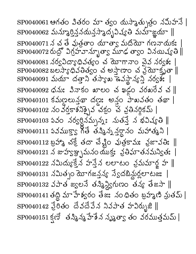$\mathrm{SPO}$ 040061 ఆగతం వితరం మా త్వం యస్మాత్సుత్రం నమిహనే |  $\mathrm{SPO}$ 0040062 మన్మూర్తిన్దవరున్తప్పాద్బవిష్యతి మమ్జాయా  $\parallel$ SP0040071 న చ తే వుత్తశాం యాత్యా మదియో గణనాయక:  $SP0040072 \Delta \tilde{\mathcal{S}}$ ిగ్రహవాన్బూత్వా మూఢ త్వాం వినయిష్యతి| SP0040081 నర్వవిద్యాధివత్యం చ యోగానాం చైవ నర్వళః  $\mathrm{SPO}$ 040082 బలస్యాధివతిత్వం చ అస్తాణాం చ వ్రయోకృతా  $\parallel$ SP0040091 మయా దత్తాని తస్యాఖ ఉవస్థాన్యస్తి నర్వశః  $\mathrm{SPO}$ 040092 ధను: వినాకం ఖాలం చఖడం వరఖరేవ చ $\parallel$  $SPO040101$  కమణలున్తథా దణ: అన్లం పాఖవతం తథా |  $SP0040102$  20 305\$2212 350 3 3325055 |  $\mathrm{SPO}$ 040 $103$  ఏవం నర్వర్ధినమ్చను: నుత $\vec{3}$  న భవిష్యతి  $\parallel$  $SP0040111$  వివముక్తా గొతే తన్మిన్న నర్ధానం మహాత్మని |  $\mathrm{SPO}$ 040112 బ్రహ్మీ చక్రే తదా చేష్టిం వుత్రకామః వ్రజావతిః  $\parallel$ SP0040121 న జుహ్యఞ్చమనం యుక్తః వ్రతిఘాతనమన్వితః | SP0040122 నమిద్యుక్తేన హన్తేన లలాటం వ్రమమార్ఖ హ ∥  $SP0040131 \x330300$  మోగజన్తవ్య స్వేదబిన్డుర్లలాటజ: |  $\mathrm{SPO}$ 040132 వపాత జ్వలనే తస్మీన్నిస్టగుణం తన్య తేజసా  $\parallel$  $\mathrm{SPO}$ 040141 తద్ది మా హేశ్వరం తేజి. నంధితం బ్రహ్మణి న్రుతమ్ |  $SPOO40142 \leq 0$ రితం దేవదేవేన నివపాత హవిర్భుజి ||  $SP0040151$  క్షణ్ తన్మిన్మ హేశేన నృశ్రతా తం వరముత్తమమ్ |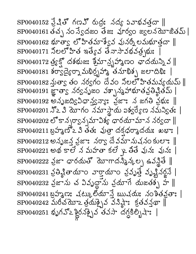$\mathrm{SPO}$ 040152 న్రేషితో గణహ్ రుద్రః నద్య వివాభవత్త  $\parallel$ SP0040161 తచ్చ నం స్వేదజం తేజః వూర్వం జ్వలనమోజితమ్ |  $\mathrm{SPO}$ 040162 భూత్వ లోహితమాశ్వైవ వునర్నీ లమభూత్తదా  $\parallel$  $\mathrm{SPO}$ 040171 నీలలో హిత ఇత్యేవ తేనాసావభవత్రఘః  $\mathrm{SPO}$ 040172 త్ర్యక్తో దశభుజ: శ్రీమాన్స్త్రహ్మణం ఛాదయన్ని వ  $\parallel$  $\text{SP0040181}$  శర్వద్వేర్నా మభిర్భహా తమాభిశ్చ జలాదిభి: | SP0040182 నుత్వా తం నర్వగం దేవం నీలలోహితమవ్యయమ్ ||  $\mathrm{SPO}$ 040191 జ్ఞాత్వా నర్వనృజం వశ్చాన్మహాభూతవ్రతిష్టితమ్  $|$  $SP0040192$  అనృజద్విధాన్త్వన్యా: న్రజా: న జగతి న్రభు: ||  $\mathrm{SPO}$ 040201  $\mathfrak{I}$ 2  $\mathfrak{Z}$  మోగం నమాస్థాయ ఐశ్వర్యేణ నమన్వితః |  $\mathrm{SPO}$ 040202 లోకాన్నర్వాన్నమావిశ్య ధారయామాన నర్వదా  $\parallel$  $SP0040211$  బ్రహ్మణ్ 2 3 తత: పుత్రా దక్షధర్మాదయ: ఖభా: |  $SPO040212$  అనృజన్త వ్రజా: నర్వా దేవమానుషనం కులా: ||  $\mathrm{SPO}$ 040221 అథ కాలే న మహతా కలే ఖ్రతే వునః వునః |  $\mathrm{SPO}$ 040222 న్రజా ధారయతో యోగాదన్మీన్కల్ప ఉవన్ధితే  $\parallel$  $SP0040231$  వ్రతిశ్ణీతాయాం వార్తాయాం వ్రవృత్తే వృష్ణినర్లనే |  $SP0040232$  వైజాను చ వివృద్ధాను వ్రయాగే యజతశ్భ హ  $\parallel$ SP0040241 బ్రహ్మణ: చట్కులియానే ఋచయ: నంశితన్లతా: |  $\mathrm{SPO}$ 040242 మరీచయో2 త్రయక్పైవ వనిష్ఠా: క్రతవస్త్రథా  $\parallel$  $\mathrm{SPO}$ 040251 ขังกระวิธี สมอังสัญชัยสำ สักระ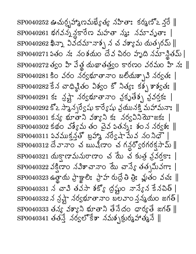$\mathrm{SPO}$ 040252 ఊచుర్చహా బామభ్యత్య నహితాః కర్మణోఽ న్లరే  $\parallel$  $\mathrm{SPO}$ 040261 భగవన్న న్లారేణ మహతా న్మః నమావృతాః |  $\mathrm{SPO}$ 040262 ఖిన్నా వివదమానాశ్చ న చ వశ్యామ యత్నరమ్  $\parallel$  $\mathrm{SPO}$ 040271 ఏతం నః నంశయం దేవ చిరం హృది నమాన్థితమ్ |  $SP0040272$  లేకం హి వేళ్ల యథాతత్త్వం కారణం వరమం హి నః ||  $\mathrm{SPO}$ 040281 కిం వరం నర్వభూతానాం బలియశ్చావి నర్వత: |  $\mathrm{SPO}$ 040282 ဒိ $\lambda$  చాధి నీతం విశ్వం కో నిత్య: కశ్చ శాశ్వత:  $\parallel$  $\mathrm{SPO}$ 040291 క: స్రష్టే నర్వభూతానా౦ వ్రకృతేశ్చ వ్రవర్తక: |  $\text{SP0040292}$  కో2 స్మాన్సర్వేషు కార్యేషు వ్రయునక్తి మహామనా:  $\parallel$  $SP0040301$  కన్య భూతాని వశ్యాని కః నర్వవినియోజకః | SP0040302 కథం విశ్వేమ తం చైన పతన్నః శం న నర్వశః  $\blacksquare$  $\text{SP0040311}$  వినముక్తన్తో బ్రహా నర్వేషా మేవ నం నిధౌ | sP0040312 దేవానాం చ ఋషీణాం చ గన్ధర్యోరగరక్షసామ్ || SP0040321 యక్షాణామనురాణాం చేయే చకుత్ర వ్రవర్తకాః  $\mathrm{SPO}$ 040322 వక్షిణాం నవిశాచానాం మే చాన్య తత్పమీవగా: |  $\mathrm{SPO}$ 040323 ఉత్థాయ ప్రాక్ష్యాలిః ప్రాహా రుద్రే తి త్రిః ఫ్లుతం వచః  $\parallel$  $\mathrm{SPO}$ 040331 న చావి తవసా శక్యో ద్రష్టం నాన్యేన కేనపిత్ |  $SP0040332 \times 22$  స్లో నర్వభూతానాం బలవాం శ్రవ్యయం జగత్ |  $\mathrm{SPO}$ 040333 తన్య వశ్యాని భూతాని తేనేదం ధార్యతే జగత్  $\parallel$  $\mathrm{SPO}$ 040341 తత $\vec{3}$  నర్వలోకేశా నమశ్చక్రుర్మహాత్మనే  $\parallel$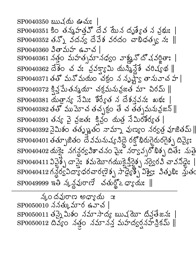$$
\frac{1}{20} \text{C} \times \frac{1}{20}
$$
\n
$$
\frac{1}{20} \text{C} \times \frac{1}{20}
$$
\n
$$
\frac{1}{20} \text{C} \times \frac{1}{20}
$$
\n
$$
\frac{1}{20} \text{C} \times \frac{1}{20}
$$
\n
$$
\frac{1}{20} \text{C} \times \frac{1}{20}
$$
\n
$$
\frac{1}{20} \text{C} \times \frac{1}{20}
$$
\n
$$
\frac{1}{20} \text{C} \times \frac{1}{20}
$$
\n
$$
\frac{1}{20} \text{C} \times \frac{1}{20}
$$
\n
$$
\frac{1}{20} \text{C} \times \frac{1}{20}
$$
\n
$$
\frac{1}{20} \text{C} \times \frac{1}{20}
$$
\n
$$
\frac{1}{20} \text{C} \times \frac{1}{20}
$$
\n
$$
\frac{1}{20} \text{C} \times \frac{1}{20}
$$
\n
$$
\frac{1}{20} \text{C} \times \frac{1}{20}
$$
\n
$$
\frac{1}{20} \text{C} \times \frac{1}{20}
$$
\n
$$
\frac{1}{20} \text{C} \times \frac{1}{20}
$$
\n
$$
\frac{1}{20} \text{C} \times \frac{1}{20}
$$
\n
$$
\frac{1}{20} \text{C} \times \frac{1}{20}
$$
\n
$$
\frac{1}{20} \text{C} \times \frac{1}{20}
$$
\n
$$
\frac{1}{20} \text{C} \times \frac{1}{20}
$$
\n
$$
\frac{1}{20} \text{C} \times \frac{1}{20}
$$
\n
$$
\frac{1}{20} \text{C} \times \frac{1}{20}
$$
\n
$$
\frac{1}{20} \text{C} \times \frac{1}{20}
$$
\n
$$
\frac{1}{20} \text{C} \times \frac{1}{20}
$$
\n
$$
\frac{1}{20} \text{C} \times \frac{1}{20}
$$
\n
$$
\frac{1}{20} \text{C} \times
$$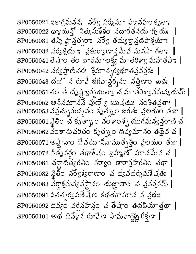$SP0050021$   $550.55.5$   $50.55.5$   $50.55.5$   $50.55.5$  $SP0050022$   $Q^s$ လော် သီမနည်န်ခံဝ သတ္တလော်သောက်တား  $\parallel$  $SP0050031$  తన్ని ష్టాన్త్రుల: నర్వే తద్యుక్తాన్దపాశ్రమా:  $SP0050032$  నర్వక్రియా: వ్రకుర్వాణాన్లపేువ మనసా గతా:  $\parallel$  $\mathrm{SPO}$ 050041 తేషాం తం భావమాలక్య మాతరిశ్వా మహాతపాః |  ${\rm SP}0050042$  నర్వస్తాణిచరః శ్రీమాన్చర్యభూతవ్రవర్తకః  $SP0050043$  దదౌన రూవీ భగవాన్థర్శనం నత్తిణాం ఖభ: || SP0050051 తం తే దృష్ట్వెర్సయిత్వా వ మాతరిశ్వానమవ్యయమ్ |  $SP0050052$  ఆనినమాననే వుణే ్ ఋషయ: నంశితన్రతా: |  $\mathrm{SPO}$ 050053 వవ్రచ్చురుద్భవం కృత్నుం జగతః వ్రలయం తథా  $\parallel$  $SP0050061$  న్ణీతిం చ కృత్నాం వంశాంశ్చ ముగమన్వన్తరాణి చ $|$  $SP0050062$  వంశానుచరితం కృత్నం దివ్యమానం తథైవ చ $\parallel$ SP0050071 అష్టానాం దేవయోనినాముత్పత్తిం వ్రలయం తథా |  $\mathrm{SPO}$ 050072 వితృనర్ధం తథాశేషం బ్రహ్మణ్ మానపేువ చ $\parallel$  $SP0050081$  చన్ధాదిత్యగతిం నర్వాం తారాగ్రహగతిం తథా |  $SP0050082$  స్థితం నర్వేశ్వరాణాం చ ద్వీవధర్మమేషత:  $SP0050083$  వర్ణాశ్రమవ్యవస్థానం చుజ్ఞానాం చ వ్రవర్తనమ్ ||  $\mathrm{SP0050092}$  దివ్యం వర్షనహన్రం చ తేషాం తదభియాత్తథా  $\parallel$ SP0050101 అథ దివ్యేన రూవేణ సామవాగ్రిష్టి రీక్షణా |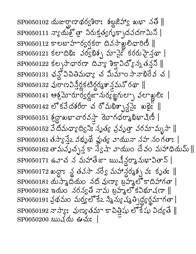$\text{SP0050102}$  మజుర్ఘాణాథర్వశిరా: శబ్దజిహా $\text{S}$  ఖఖా నతి  $\parallel$  $SP0050111 \text{ and } \text{S} \text{ and } \text{S}$  నిరుక్తుక గృక్పాదవదగామిని  $\mathrm{SPO}$ 050112 కాలబాహార్వర్షకరా దివసాఖ్లలిధారిణీ  $\parallel$  $SP0050121$  కలాదిఖి: వర్వేభిశ్చ మానైనీ కరరుహైన్లా |  $\mathrm{SPO}$ 050122 కల్పసాధారణా దివ్యా శిక్షావిద్యోన్న తన్న  $\parallel$  $\mathrm{SPO}$ 050131 ఛన్లో విచితిమధ్యా చ మీమాం సానాభిరేవ చ |  $SP0050132$  அமைபித்த்தித்தித்தை தில் இசை  $SP0050141$  ఆశ్రమోదార్వర్ధజామర్యజ్ఞగుల్నా వలాఖ్లలి: |  $\mathrm{SP0050142}$  లోకవేదశరీరా చ రోమభిశ్చాన్నై: ఖథై:  $\parallel$  $\mathrm{SP0050151\ \AA}$ တ္တာသမားတပ်သံ္မဲ့ တာက်ထုတ္ပန္ပါန္း ပိုလ္ပံ  $SP0050152$  3 దిమధ్యాద్విని: సృత్య వ్రవృత్తా వరమామృసా  $\parallel$  $SP0050161$  తస్యాన్తే వథృథే ఫ్లుత్య వాయునా నహ నంగతాః |  $\mathrm{SPO}$ 050162 తామవృచ్చక్త స్వేషా వాయుం దేవం మహాధియమ్  $\parallel$  $SP0050171$  ఉవాచ న మహాతేజా ఋషీన్దర్శానుభావితాన్ |  $\mathrm{SP0050172}$  ఖద్దా: ్ల తవసా నర్వే మహాన్దర్మశ్చ వ: కృత:  $\parallel$  $SP0050181$  యస్మాదియం నది వుణ్యా బహ్మల్లో కాదిహాగతా |  $SP0050182$  ఇయం నరన్వతి నామ బ్రహ్మలో కవిభూషణా || SP0050191 వ్రథమం మర్త్యలోకేఽ స్మిన్యు ష్యత్పిద్ధ్యర్థమాగతా |  $\text{SP0050192} \,\pi \lambda \, \mathfrak{S}$ : సుణ్యతమా కాచిత్తిషు లొకేషు విద్యతే  $\parallel$ SP0050200 ఋషయ ఊచు: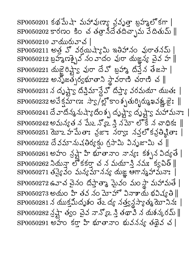$SP0050201$  కథ మేషా మహావుణ్యా వ్రవృత్తా బ్రహ్మల్లో కగా |  $SP0050202$ కారణం కిం చ తత్రానీదేతదిచ్చాను వేదితుమ్ || SP0050210 వాయురువాచ |  $\mathrm{SPO}$ 050211 అత్ర హో వర్తయిష్యామి ఇతిహానం వురాతనమ్ |  $\mathrm{SP}0050212$  బ్రహ్మణశ్చైన నం వాదం వురా యజ్ఞన్య చైవ హ $\parallel$  $SP0050221$  యజైరిష్ణా వురా దేవో బ్రహ్మా దిప్తేన తేజసా |  $\mathrm{SP0050222}$  అన్ళోజత్చర్యభూతాని స్థావరాణి చరాణి చ $\parallel$ SP0050231 న దృష్ట్వ దీప్తిమాన్దేవొ దీప్తాౕ వరమయా యుతః |  $SP0050232$  అవేక్షమాణ: సా $_S/\gamma$ ల్లొకాంశ్చతుర్చిర్ముఖవఖ్ణ, జి:  $\parallel$ SP0050241 దే వాదిన్మనుష్యాదం శ్చ దృష్ట్యా దృష్ట్యా మహామనా: |  $\mathrm{SPO}$ 050242 అమన్యత న పేుఽ న్యొఒ ని నమో లోకే న చాధికః  $\parallel$ SP0050251 యో2 హేమేతా: వైజా: నర్వా: నవ్తలో కవ్రతిష్టితా:  $SP0050252$  దేవమానుచతిర్యక్తు గ్రసామి వినృజామి చ $\parallel$  $\mathrm{SPO}$ 050261 అహం న్రష్టా హి భూతానాం నాన్య: కశ్చన విద్యతే |  $\mathrm{SP0050262}$  నియన్గా లోకకర్తా చన మయాన్తి నమః క్వపిత్  $\parallel$ SP0050271 తప్యైవం మన్యమానన్య యజ్ఞ ఆగాన్మహామనాః  $\mathrm{SP}0050272$  ఉవాచ చైనం దిప్తాతా ఘైనం మం స్థా మహామతే |  $\mathrm{SPO}$ 050273 అయం హి తవ నం మోహో వినాశాయ భవిష్యతి  $\parallel$  $\mathrm{SP}0050281 \,\mathrm{\AA}$  యుక్తమీదృశం తేఽ ద్య నత్త్వన్థస్యాత్మ యోనినః |  $\mathrm{SP}0050282 \stackrel{\textstyle\scriptstyle\diagup}{\sim} \frac{1}{2}$ ్యాం చైవ నాన్యొ2 స్త్రి తథావి న యకన్కరమ్  $\parallel$  $SP0050291$  అహ $\circ$  కర్తా హి భూతానాం భువనన్య తథైవ చ |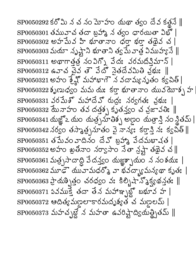$\mathrm{SPO}$ 050292 కరోమి న చ నం మోహం నుథా త్వం దేవ కత్లనే  $\parallel$  $\mathrm{SP0050301}$  తమువాచ తదా బ్రహ్మ న త్వం ధారయితా విభో  $\mathrm{SP}0050302$  అహమేవ హి భూతానాం ధరా భరా తథైవ చ |  $\text{SP0050303}$  మయా నృష్ట్గాని భూతాని త్వమే వాత్ర విముహ్య నే $\parallel$  $SP0050311$  అథాగాత్తత్వం విగ్నో వేద: వరమదికిమాన్ |  $SP0050312$  ఉవాచ చైన తౌ వేదో సైతదేవమితి న్రభు:  $\parallel$  $SPO 050321$  అహం శ్రేష్ణో మహాభాగౌ న వదామ్య నృతం క్వపిత్ |  $SP0050322$ శృణుధ్యం మమ యఃకర్తాభూతానాం యువయోశ్చహ SP0050331 వరమేశ్ మహాదేవ్ రుద్రః నర్వగతః వౖభుః |  $\mathrm{SP}0050332$  మే నాహం తవ దత్తశ్చ కృతస్త్యం చ వ్రజావతిః  $\parallel$ SP0050341 యజ్ఞో ఒ యం 'యత్ర్సహతిక్స్' అల్లం 'యత్రాన్తి నం నీతమ్ |  $\mathrm{SP}0050342$  నర్వం తస్మాత్సనూతం వై నాన్య: కర్తాన్తి నః క్వపిత్  $\parallel$  $\mathrm{SPO}$ 050351 తపువం ూదినం దేవో బ్రహ్మ వేదమభాషత |  $\text{SP0050352}}$  అహం ఖ్రతీవాం నర్వాసాం నేతా న్రష్టా తథైవ చ $\parallel$ SP0050361 మత్ర్పసాదాద్ది వేదన్త్యం యజ్ఞక్బాయం న నంశయః |  $\mathrm{SP}0050362$  మూఢౌయువామధర్మొ వాభవద్భ్యామన్యథా కృతః $\mid$  $\mathrm{SP0050363} \mathop{\text{Poisson}}\limits_1$ త్తం చరధ్యం వః కిల్బిషాన్శిక్ష్యథన్తతః $\parallel$  ${\rm SP}0050371$  ఏవముక్తే తదా తేన మహాఞ్చబ్లో బభూవ హ | SP0050372 ఆదిత్యమణ్ణలాకారమదృశ్యత చ మణ్ణలమ్ |  $SP0050373 \; \text{MeV} \approx 5 \; \text{MeV} \approx 50 \; \text{MeV} \approx 50 \; \text{MeV}$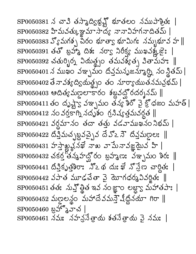$\mathrm{SP0050381} \precsim \mathrm{z}$ ు తస్మాద్యిట్హ్లో భూతలం నముపాశ్రీతః |  $SP0050382$  హిమవత్కుజ్ఞమాసాద్య నానావిహగనాదితమ్ |  $SP0050383 S^{\circ}_{\circ} \text{M\'aj}$  నీరం భూత్వ భూమిగ: నమ్బభూవ హ || SP0050391 తతో బ్రహాం దిశ: నర్వా నిరీక్య ముఖవశ్కజై:  $SP0050392$  చతుర్భిర్మ వియత్నం తమవశ్యేత్భ వితామహ: || SP0050401 న ముఖం వఞ్ఛమం దివ్తమనృజన్మూర్ని నం స్థితమ్ |  $\mathrm{SPO}$ 050402 తే నావశ్యద్వియత్థ్రం తం నూర్యాయుతనమవ్రభమ్ |  $SP0050403$  ఆదిత్యమణలాకారం శబ్దవద్ఘోరదర్శనమ్ ||  $SP0050411$  తం దృష్ట్వ వఞ్భమం తన్య శిరో వై క్రోధజం మహత్ |  $\mathrm{SPO}$ 050412 నం వర్తకాగ్ని నదృశం గ్రనిష్యత్తమవర్గత  $\parallel$  $SP0050421$  వర్ధమానం తదా తత్తు వడవాముఖనంనిభమ్ | SP0050422 దీప్తిమచ్చబ్రవచ్చైన దేవొఽసౌ దీన్తమణ్ణలః ॥  $\mathrm{SPO}$ 050431 హస్తాఖ్మనఖే నాఖ వామేనావజ్ఞమైవ హి |  $SP0050432$  చకర్త తన్మహద్ఘోరం బ్రహ్మణ: ఎఞ్బమం శిర:  $\parallel$  $SP0050441$  దీప్తికృత్తిరా: నొఽథ దుఃఖే నొస్టేణ చార్లితః  $SP0050442$  వపాత మూఢచేతా వై యోగధర్మవివర్ణిత: ||  $\mathrm{SPO}$ 050451 తత: నున్త్రోత ఇవ నంజ్ఞాం లబ్ద్యా మహాతపా: |  $SP0050452$  మణ్దలన్థం మహాదేవమస్తాె నీథ్లినయా గిరా || SP0050460 బ్రో 2 హెచ<sup>1</sup> SP0050461 నమః నహన్రసేత్రాయ శతనేత్రాయ పై నమః |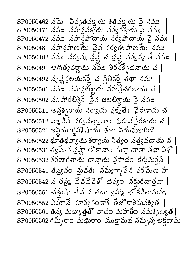$\mathrm{SP0050462}$  నమో వివృతవకాయ శతవకాయ వై నమః  $\parallel$  $SP0050471$  నమః నహన్లవక్తాయ నర్వనక్తాయ వై నమః |  $\text{SP0050472}$  నమ: నహన్సాదాయ నర్వహ్దాయ వైనమ:  $\parallel$ SP0050481 నహన్రపాణమే వైవ నర్వత: పాణమే నమ:  $\text{SP0050482} \text{ }\text{Im}\text{3} \text{Im}\text{3} \text{ }\text{Im}\text{2} \text{Im}\text{3} \text{ }\text{Im}\text{3} \text{ }\text{Im}\text{3} \text{ }\text{Im}\text{3} \text{ }\text{Im}\text{3} \text{ }\text{Im}\text{3} \text{ }\text{Im}\text{4} \text{ }\text{Im}\text{4} \text{ }\text{Im}\text{5} \text{ }\text{Im}\text{6} \text{ }\text{Im}\text{7} \text{ }\text{Im}\text{8} \text{ }\text{Im}\text{6} \text{ }\text{Im}\text{7} \text{ }\text{Im}\text{$  $SP0050491$  ఆదిత్య వర్ణాయ నమ: శిరనేశ్చేదనాయ చ |  $\mathrm{SP0050492}$  సృష్టిక్రలయకర్తే చ $\mathrm{S}^3_\mathrm{c}$ తీకర్తే తథా నమః  $\parallel$  $SP0050501 \nightharpoonup \nightharpoonup \nightharpoonup \nightharpoonup \nightharpoonup \nightharpoonup \nightharpoonup \nightharpoonup \nightharpoonup \nightharpoonup \nightharpoonup \nightharpoonup \nightharpoonup \nightharpoonup \nightharpoonup \nightharpoonup \nightharpoonup \nightharpoonup \nightharpoonup \nightharpoonup \nightharpoonup \nightharpoonup \nightharpoonup \nightharpoonup \nightharpoonup \nightharpoonup \nightharpoonup \nightharpoonup \nightharpoonup \nightharpoonup \nightharpoonup \nightharpoonup \nightharpoonup \nightharpoonup \nightharpoonup \n$  $SP0050502$  సం హారలిశ్లైనే చైన జలలిశ్లాయ వై నమ: ||  $SP0050511$  అన్త్భరాయ నర్వాయ వ్రకృతే: వ్రేరణాయ చ |  $\mathrm{SP}0050512$  వ్యావిసే నర్వనత్వానాం వురుషప్రేరకాయ చ $\parallel$  $SP0050521$  ఇన్లియార్డవిశేషాయ తథా నియమకారిణే  $SP0050522$  భూతభవ్యాయ శర్వాయ నిత్యం నత్వవదాయ చ $\parallel$  $\mathrm{SP0050531\,}$ త్వమేవ న్రష్టా లోకానాం మన్తా దాతా తథా విభో |  $SP0050532$  శరణాగతాయ దాన్తాయ వ్రసాదం కర్తుమర్షని ||  $SP0050541$  తమ్హైవం స్తువత: నమ్యగ్భావేన వరమేణ హ |  $\mathrm{SPO}$ 050542 న తప్కై దేవదేవేశో దివ్యం చక్సురదాత్తదా  $\parallel$  $SP0050551$  చక్రుషా తేన న తదా బ్రహ్మ లొకవితామహ: |  $\mathrm{SPO}$ 050552 ఏమానే నూర్యనంకాశే తేజొరాశిమవశ్యత  $\parallel$  $SPO050561$  తన్య మధ్యాత్తతో వాచం మహతీం నమశృణ్యత |  $SPO050562 \text{ÅS}$ ృరాం మధురాం యుక్తామథ నమ్చన్న లక్షణామ్ |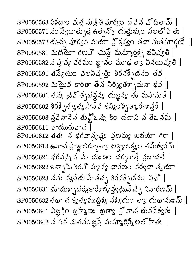SP0050563 విశదాం వుత్ర వుత్రేతి వూర్వం దేవేన చొదితామ్ ||  ${\rm SP}0050571$  నం స్వేదాత్పుత్ర ఉత్సన్నో యత్తుభ్యం నీలలో హితః |  $SP0050572 \, \text{d}x$ న్న పూర్వం మయా హ్రిక్షన్యం తదా నుతమార్గణే ||  $SP0050581$  మదియో గణవ్ యన్తే మన్మార్తిన్న భవిష్యతి  $\mathrm{SP}0050582 \,\mathrm{\AA}$  ప్రావ్య వరమం జ్ఞానం మూఢ త్వా వినయిష్యతి  $\parallel$ SP0050591 తన్యేయం ఛలనిచ్చత్తిః శిరనశ్చేదనం తవ |  $SP0050592$  మయైన కారితా తేన నిర్మ్యతశ్చాధునా భవ  $\parallel$  $\mathrm{SP0050601}$  తన్య చైవోత్సథన్థన్య యజ్ఞన్య తు మహామతే |  $SP0050602$  శిరశ్చేత్యత్య సావేవ కన్మింశ్చిత్కారణాన్తో |  $SP0050603 \leq \vec{3} \, \vec{\sigma} \, \vec{\lambda} \, \vec{\Delta} \, \vec{\Delta} \, \vec{\Delta} \, \vec{\Delta} \, \vec{\Delta} \, \vec{\Delta} \, \vec{\Delta} \, \vec{\Delta} \, \vec{\Delta} \, \vec{\Delta} \, \vec{\Delta} \, \vec{\Delta} \, \vec{\Delta} \, \vec{\Delta} \, \vec{\Delta} \, \vec{\Delta} \, \vec{\Delta} \, \vec{\Delta} \, \vec{\Delta} \, \vec{\Delta} \, \vec{\Delta} \, \vec{\Delta} \, \vec{\Delta} \, \vec{\Delta} \, \vec{\Delta} \, \vec{\Delta} \, \vec{\Delta} \$ SP0050611 వాయురువాచ<sup>`</sup>  ${\rm SP0050612}$  తత: న భగవాన్ప్లష్ట: ప్రణమ్య ఖభయా గిరా |  $SP0050613$  ఉనాచ ప్రాజ్ఞాలిర్భూత్వా లక్ష్యాలక్ష్యం తమిశ్వరమ్ ||  $SP0050621$  భగవస్నైవ మే దుఃఖం దర్శనాత్తే వ్రబాధతే |  $\mathrm{SPO}$ 050622 ఇచ్చామి శిరన్ హ్యన్య ధారణం నర్వదా త్వయా | SP0050631 భూయశ్చాధర్మకార్యేభ్య స్త్రమైనే చ్చే నివారణమ్ |  $SP0050632$  తథా చ కృత్యముద్దిశ్య వశ్యేయం తా $_{S}$  యథానుఖమ్ ||  $\mathrm{SPO}$ 050641  $\mathcal{S}$ జ్ఞున్తిం బ్రహ్మణ: ఖత్వా హ్హిచ భువనేశ్వర: | SP0050642 న పవ నుతనంజ్ఞన్తే మన్మూర్తిర్నీ లలోహితః |